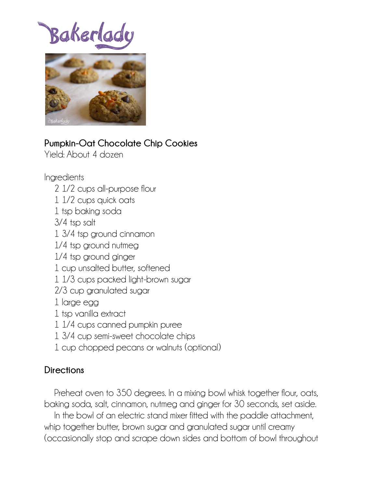Bakerlad



## **Pumpkin-Oat Chocolate Chip Cookies**

Yield: About 4 dozen

## Ingredients

- 2 1/2 cups all-purpose flour
- 1 1/2 cups quick oats
- 1 tsp baking soda
- 3/4 tsp salt
- 1 3/4 tsp ground cinnamon
- 1/4 tsp ground nutmeg
- 1/4 tsp ground ginger
- 1 cup unsalted butter, softened
- 1 1/3 cups packed light-brown sugar
- 2/3 cup granulated sugar
- 1 large egg
- 1 tsp vanilla extract
- 1 1/4 cups canned pumpkin puree
- 1 3/4 cup semi-sweet chocolate chips
- 1 cup chopped pecans or walnuts (optional)

## **Directions**

 Preheat oven to 350 degrees. In a mixing bowl whisk together flour, oats, baking soda, salt, cinnamon, nutmeg and ginger for 30 seconds, set aside. In the bowl of an electric stand mixer fitted with the paddle attachment,

whip together butter, brown sugar and granulated sugar until creamy (occasionally stop and scrape down sides and bottom of bowl throughout